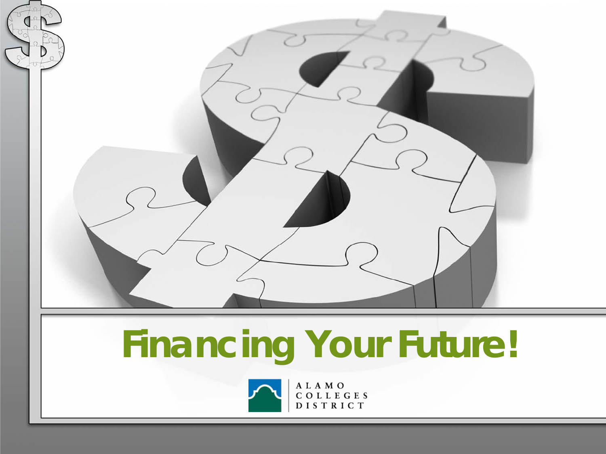

# **Financing Your Future!**



ALAMO COLLEGES DISTRICT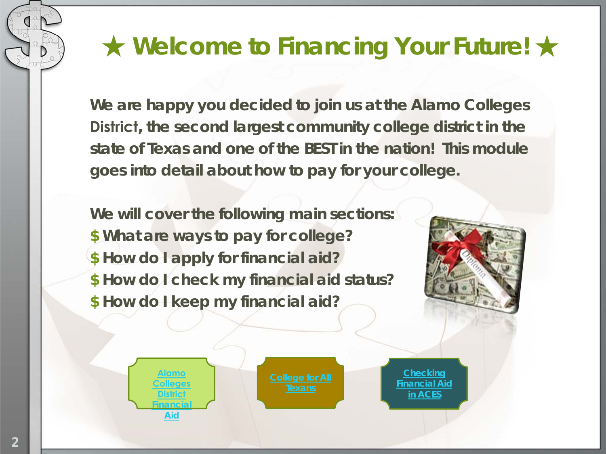### ★ **Welcome to Financing Your Future!** ★

**We are happy you decided to join us at the Alamo Colleges District, the second largest community college district in the state of Texas and one of the BEST in the nation! This module goes into detail about how to pay for your college.** 

**We will cover the following main sections: \$ What are ways to pay for college? \$ How do I apply for financial aid? \$ How do I check my financial aid status? \$ How do I keep my financial aid?**

> **[Alamo](http://alamo.edu/district/financial-aid/)  [Colleges](http://alamo.edu/district/financial-aid/)  [District](http://alamo.edu/district/financial-aid/) Financial Aid**



**[Financial Aid](http://sacms.alamo.edu/Mediasite/Play/3e3b58c59be846f5a83bc39c33caef3f1d)  [in ACES](http://sacms.alamo.edu/Mediasite/Play/3e3b58c59be846f5a83bc39c33caef3f1d)**

**2**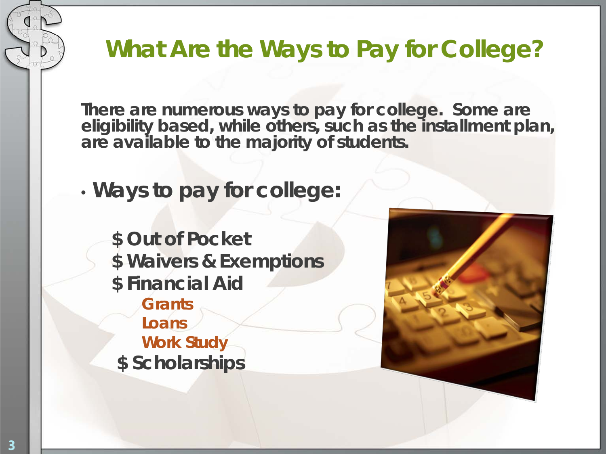**What Are the Ways to Pay for College?**

**There are numerous ways to pay for college. Some are eligibility based, while others, such as the installment plan, are available to the majority of students.** 

• **Ways to pay for college:**

**\$ Out of Pocket \$ Waivers & Exemptions \$ Financial Aid Grants Loans Work Study \$ Scholarships**

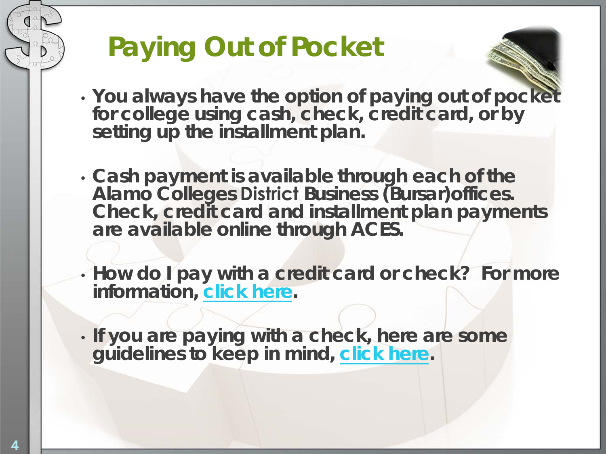## **Paying Out of Pocket**

- **You always have the option of paying out of pocket for college using cash, check, credit card, or by setting up the installment plan.**
- **Cash payment is available through each of the Alamo Colleges District Business (Bursar)offices. Check, credit card and installment plan payments are available online [through](http://www.alamo.edu/mainwide.aspx?id=4926) ACES.**
- **How do I pay with a credit card or check? For more information, [click here.](http://www.alamo.edu/district/business-office/)**
- **If you are paying with a check, here are some guidelines to keep in mind, [click here.](http://www.alamo.edu/district/business-office/check-regulations/)**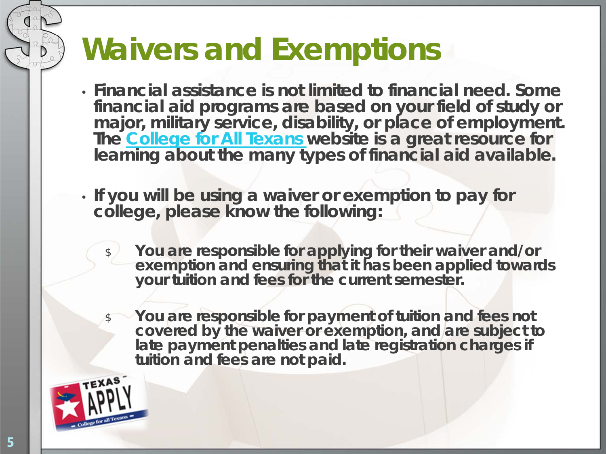## **Waivers and Exemptions**

- **Financial assistance is not limited to financial need. Some financial aid programs are based on your field of study or major, military service, disability, or place of employment. The [College for All Texans](http://www.collegeforalltexans.com/index.cfm?ObjectID=699A998A-E7F3-1DCC-3F460F26136EEA05) website is a great resource for learning about the many types of financial aid available.**
- **If you will be using a waiver or exemption to pay for college, please know the following:**
	- \$ **You are responsible for applying for their waiver and/or exemption and ensuring that it has been applied towards your tuition and fees for the current semester.** 
		- \$ **You are responsible for payment of tuition and fees not covered by the waiver or exemption, and are subject to late payment penalties and late registration charges if tuition and fees are not paid.**

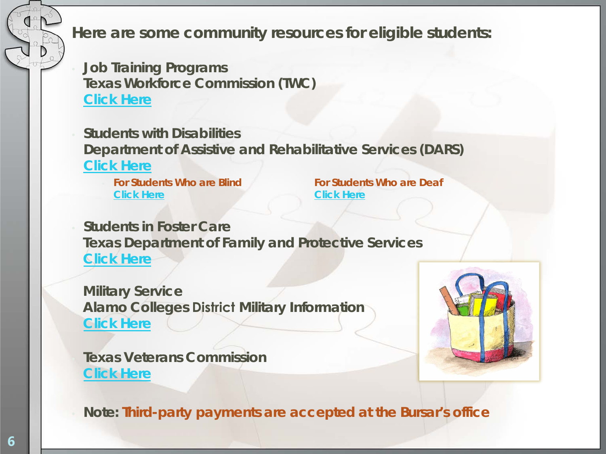**Here are some community resources for eligible students:**

• **Job Training Programs Texas Workforce Commission (TWC) [Click Here](http://www.twc.state.tx.us/customers/jsemp/job-seekers-employees.html)**

• **Students with Disabilities Department of Assistive and Rehabilitative Services (DARS) [Click Here](http://www.dars.state.tx.us/about/index.shtml)**

**[Click Here](http://www.dars.state.tx.us/dbs/index.shtml) [Click Here](http://www.dars.state.tx.us/dhhs/findservices.asp)**

• **For Students Who are Blind For Students Who are Deaf** 

• **Students in Foster Care Texas Department of Family and Protective Services [Click Here](new link: http://www.dfps.state.tx.us/I_Am/foster-youth.asp)**

**Military Service Alamo Colleges District Military Information [Click](http://www.alamo.edu/military/) Here**

• **Texas Veterans Commission [Click](link : https://www.tvc.texas.gov/) Here**



• *Note: Third-party payments are accepted at the Bursar's office*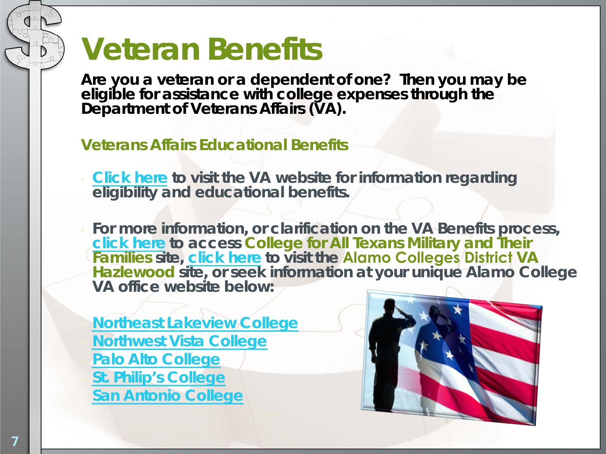## **Veteran Benefits**

**Are you a veteran or a dependent of one? Then you may be eligible for assistance with college expenses through the Department of Veterans Affairs (VA).** 

#### **Veterans Affairs Educational Benefits**

- **[Click here](http://www.gibill.va.gov/) to visit the VA website for information regarding eligibility and educational benefits.**
- **For more information, or clarification on the VA Benefits process, [click here](http://www.collegeforalltexans.com/index.cfm?objectID=8F88F7F2-A11A-B69F-5E25D9D6F972DAE4&audience=military) to access** *College for All Texans Military and Their Familie***s site, [click here](http://www.alamo.edu/district/financial-aid/hazelwood/) to visit the Alamo Colleges District VA Hazlewood site, or seek information at your unique Alamo College VA office website below:**

• **[Northeast Lakeview College](http://www.alamo.edu/mainwide.aspx?id=507)** • **[Northwest Vista College](http://www.alamo.edu/main.aspx?id=5989)** • **[Palo Alto College](http://www.alamo.edu/pac/veterans-affairs/)** • **[St. Philip's College](http://www.alamo.edu/spc/veterans-affairs/)** • **[San Antonio College](http://www.alamo.edu/sac/VeteransAffairs/)** 

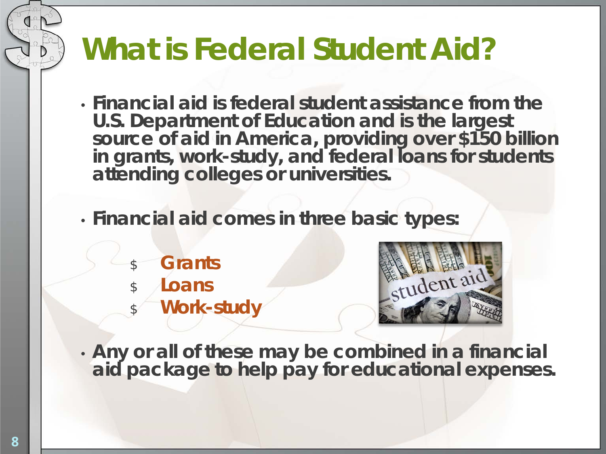## **What is Federal Student Aid?**

- **Financial aid is federal student assistance from the U.S. Department of Education and is the largest** source of aid in America, providing over \$150 billion **in grants, work-study, and federal loans for students attending colleges or universities.**
- **Financial aid comes in three basic types:**
	- \$ **Grants**
	- \$ **Loans**
		- **Work-study**



• **Any or all of these may be combined in a financial aid package to help pay for educational expenses.**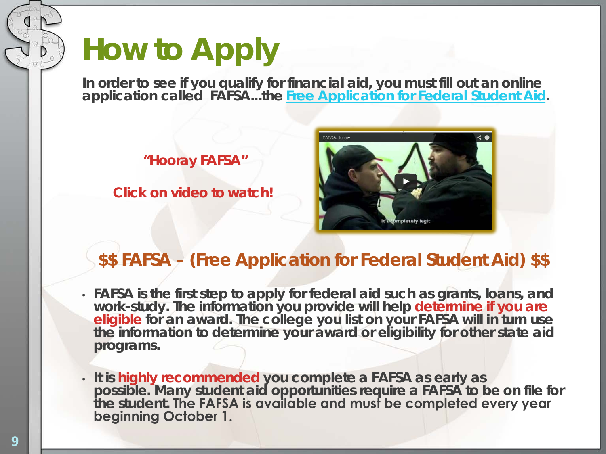## **How to Apply**

**In order to see if you qualify for financial aid, you must fill out an online application called FAFSA...the** *[Free Application for Federal Student Aid](http://studentaid.ed.gov/fafsa/filling-out)***.** 

**"Hooray FAFSA"** 

**Click on video to watch!**



#### **\$\$ FAFSA – (Free Application for Federal Student Aid) \$\$**

- **FAFSA is the first step to apply for federal aid such as grants, loans, and work-study. The information you provide will help determine if you are eligible for an award. The college you list on your FAFSA will in turn use the information to determine your award or eligibility for other state aid programs.**
- **It is highly recommended you complete a FAFSA as early as possible. Many student aid opportunities require a FAFSA to be on file for the student. The FAFSA is available and must be completed every year beginning October 1.**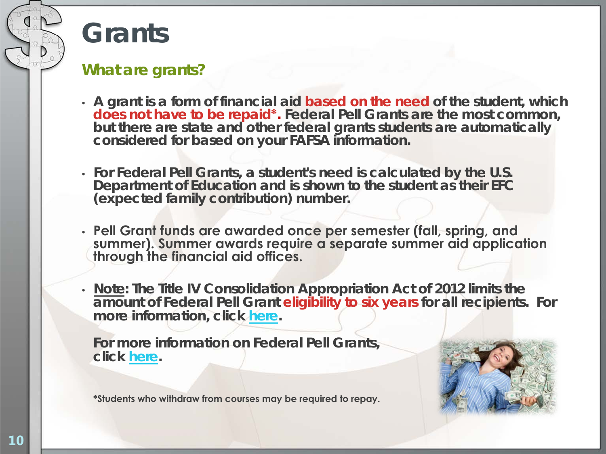### **Grants**

#### **What are grants?**

- **A grant is a form of financial aid based on the need of the student, which does not have to be repaid\*. Federal Pell Grants are the most common, but there are state and other federal grants students are automatically considered for based on your FAFSA information.**
- **For Federal Pell Grants, a student's need is calculated by the U.S. Department of Education and is shown to the student as their** *EFC* **(expected family contribution) number.**
- **Pell Grant funds are awarded once per semester (fall, spring, and summer). Summer awards require a separate summer aid application through the financial aid offices.**
- **Note: The Title IV Consolidation Appropriation Act of 2012 limits the amount of Federal Pell Grant eligibility to six years for all recipients. For more information, click [here](http://www.alamo.edu/uploadedFiles/District/Website_Administration/Callout_Content/Departments/Financial_Aid/LEU - News 2012(1).pdf).**

**For more information on Federal Pell Grants, click [here.](http://www.alamo.edu/district/financial-aid/federal-pell-grant/)**



**\*Students who withdraw from courses may be required to repay.**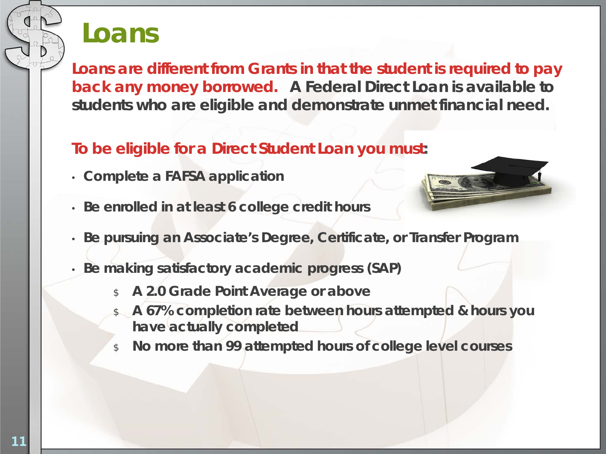### **Loans**

**Loans are different from Grants in that the student is required to pay back any money borrowed.** *A Federal Direct Loan* **is available to students who are eligible and demonstrate unmet financial need.** 

#### **To be eligible for a Direct Student Loan you must:**

- **Complete a FAFSA application**
- **Be enrolled in at least 6 college credit hours**
- **Be pursuing an Associate's Degree, Certificate, or Transfer Program**
- **Be making satisfactory academic progress (SAP)**
	- \$ **A 2.0 Grade Point Average or above**
	- \$ **A 67% completion rate between hours attempted & hours you have actually completed**
	- \$ **No more than 99 attempted hours of college level courses**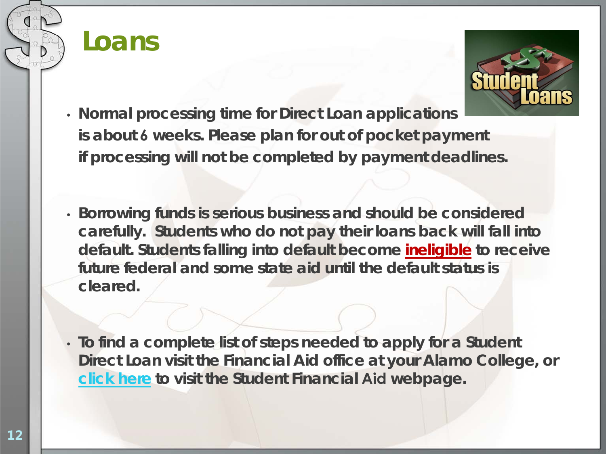



- **Normal processing time for Direct Loan applications is about 6 weeks. Please plan for out of pocket payment if processing will not be completed by payment deadlines.**
- **Borrowing funds is serious business and should be considered carefully. Students who do not pay their loans back will fall into** *default***. Students falling into default become ineligible to receive future federal and some state aid until the default status is cleared.**
- **To find a complete list of steps needed to apply for a Student Direct Loan visit the Financial Aid office at your Alamo College, or [click here](http://www.alamo.edu/district/financial-aid/) to visit the Student Financial Aid webpage.**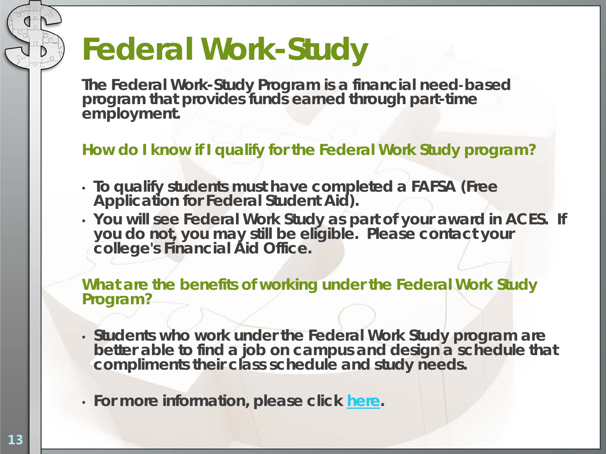## **Federal Work-Study**

**The Federal Work-Study Program is a financial need-based program that provides funds earned through part-time employment.** 

**How do I know if I qualify for the Federal Work Study program?**

- **To qualify students must have completed a FAFSA (Free Application for Federal Student Aid).**
- **You will see Federal Work Study as part of your award in ACES. If you do not, you may still be eligible. Please contact your college's Financial Aid Office.**

**What are the benefits of working under the Federal Work Study Program?** 

- **Students who work under the Federal Work Study program are better able to find a job on campus and design a schedule that compliments their class schedule and study needs.**
- **For more information, please click [here](http://www.alamo.edu/district/financial-aid/work-study/).**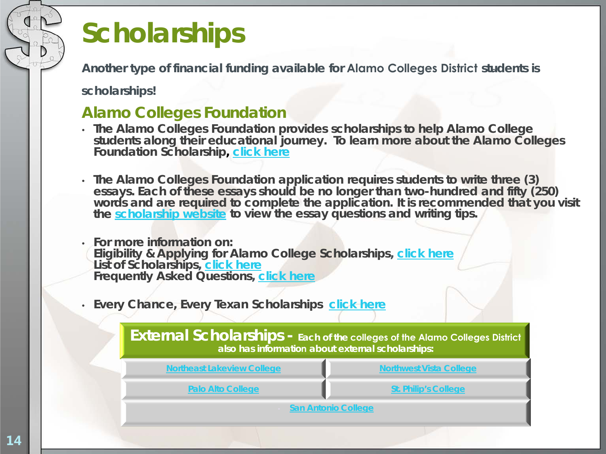## **Scholarships**

**Another type of financial funding available for Alamo Colleges District students is** 

**scholarships!** 

#### **Alamo Colleges Foundation**

- **The Alamo Colleges Foundation provides scholarships to help Alamo College students along their educational journey. To learn more about the Alamo Colleges Foundation Scholarship, [click here](http://www.alamo.edu/foundation/scholarships/)**
- **The Alamo Colleges Foundation application requires students to write three (3) essays. Each of these essays should be no longer than two-hundred and fifty (250) words and are required to complete the application.** *It is recommended that you visit the [scholarship website](http://www.alamo.edu/main.aspx?id=2468) to view the essay questions and writing tips.*
- *For more information on:* **Eligibility & Applying for Alamo College Scholarships, [click here](http://www.alamo.edu/main.aspx?id=2567) List of Scholarships, [click here](http://www.alamo.edu/mainwide.aspx?id=11789) Frequently Asked Questions, [click here](http://www.alamo.edu/main.aspx?id=11080)**
- **Every Chance, Every Texan Scholarships [click here](http://www.everychanceeverytexan.org/funding/aid/faidalpha.php)**

**External Scholarships - Each of the colleges of the Alamo Colleges District also has information about external scholarships:** 

| <b>Northeast Lakeview College</b> | <b>Northwest Vista College</b> |
|-----------------------------------|--------------------------------|
| <b>Palo Alto College</b>          | <b>St. Philip's College</b>    |
| <b>San Antonio College</b>        |                                |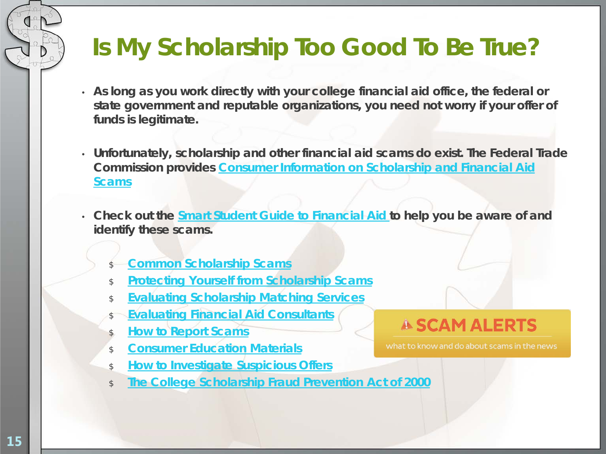### **Is My Scholarship Too Good To Be True?**

- **As long as you work directly with your college financial aid office, the federal or state government and reputable organizations, you need not worry if your offer of funds is legitimate.**
- **Unfortunately, scholarship and other financial aid scams do exist. The Federal Trade Commission provides [Consumer Information on Scholarship and Financial Aid](http://www.consumer.ftc.gov/articles/0082-scholarship-and-financial-aid-scams) [Scams](http://www.consumer.ftc.gov/articles/0082-scholarship-and-financial-aid-scams)**
- **Check out the [Smart Student Guide to Financial Aid t](http://www.finaid.org/scholarships/scams.phtml)o help you be aware of and identify these scams.**
	- **[Common Scholarship Scams](http://www.finaid.org/scholarships/common.phtml)**
	- \$ **[Protecting Yourself from Scholarship Scams](http://www.finaid.org/scholarships/protecting.phtml)**
	- \$ **[Evaluating Scholarship Matching Services](http://www.finaid.org/scholarships/matching.phtml)**
	- **[Evaluating Financial Aid Consultants](http://www.finaid.org/scholarships/consultants.phtml)**
	- \$ **[How to Report Scams](http://www.finaid.org/scholarships/reporting.phtml)**
	- \$ **[Consumer Education Materials](http://www.finaid.org/scholarships/education.phtml)**
	- \$ **[How to Investigate Suspicious Offers](http://www.finaid.org/scholarships/investigating.phtml)**
	- \$ **[The College Scholarship Fraud Prevention Act of 2000](http://www.finaid.org/scholarships/fraudact.phtml)**

#### **A SCAM ALERTS**

what to know and do about scams in the news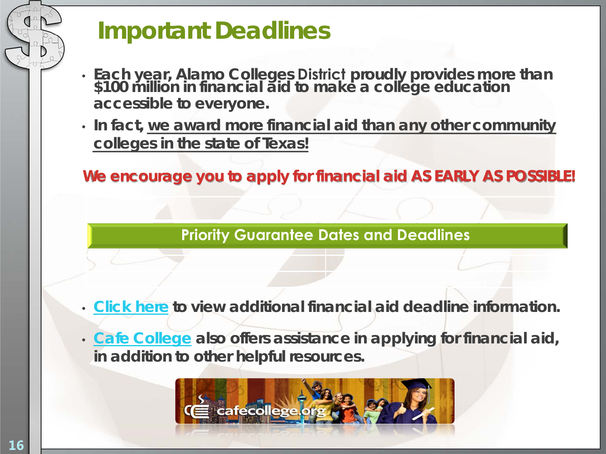### **Important Deadlines**

- **Each year, Alamo Colleges District proudly provides more than \$100 million in financial aid to make a college education accessible to everyone.**
- **In fact, we award more financial aid than any other community colleges in the state of Texas!**

**We encourage you to apply for financial aid AS EARLY AS POSSIBLE!** 

**[Priority Guarantee Dates and Deadlines](http://www.alamo.edu/mainwide.aspx?id=24715)**

- **[Click here](http://www.alamo.edu/district/financial-aid/fafsa/) to view additional financial aid deadline information.**
- *[Cafe College](http://www.cafecollege.org/home)* **also offers assistance in applying for financial aid, in addition to other helpful resources.**

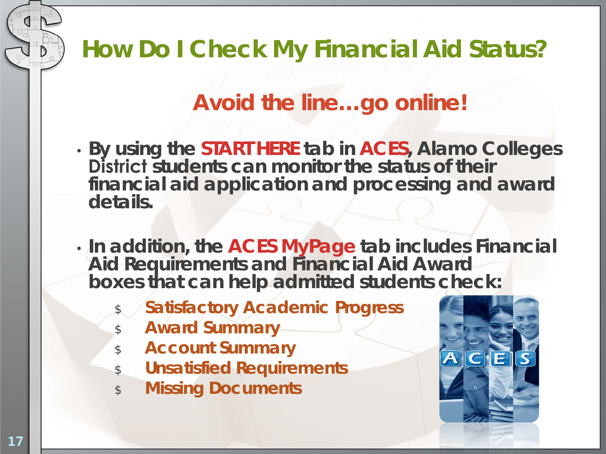### **How Do I Check My Financial Aid Status?**

### *Avoid the line…go online!*

- **By using the START HERE tab in ACES, Alamo Colleges District students can monitor the status of their financial aid application and processing and award details.**
- **In addition, the ACES MyPage tab includes Financial Aid Requirements and Financial Aid Award boxes that can help admitted students check:**
	- **Satisfactory Academic Progress**
	- \$ **Award Summary**
	- \$ **Account Summary**
	- \$ **Unsatisfied Requirements**
	- \$ **Missing Documents**

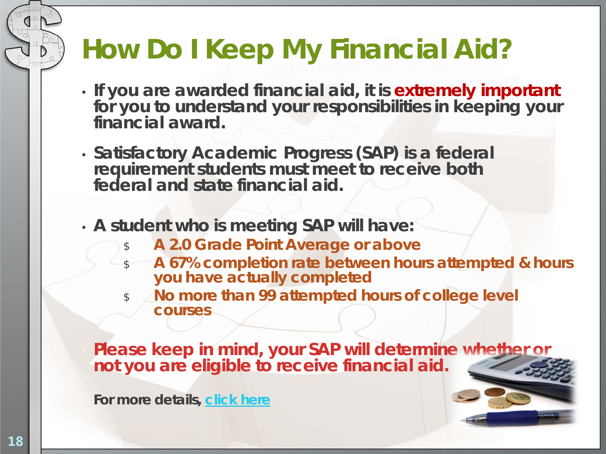## **How Do I Keep My Financial Aid?**

- **If you are awarded financial aid, it is extremely important for you to understand your responsibilities in keeping your financial award.**
- **Satisfactory Academic Progress (SAP) is a federal requirement students must meet to receive both federal and state financial aid.**
- **A student who is meeting SAP will have:**
	- \$ **A 2.0 Grade Point Average or above**
	- \$ **A 67% completion rate between hours attempted & hours you have actually completed**
	- \$ **No more than 99 attempted hours of college level courses**

• **Please keep in mind, your SAP will determine whether or not you are eligible to receive financial aid.**

• **For more details, [click here](http://www.alamo.edu/district/financial-aid/sap/)**